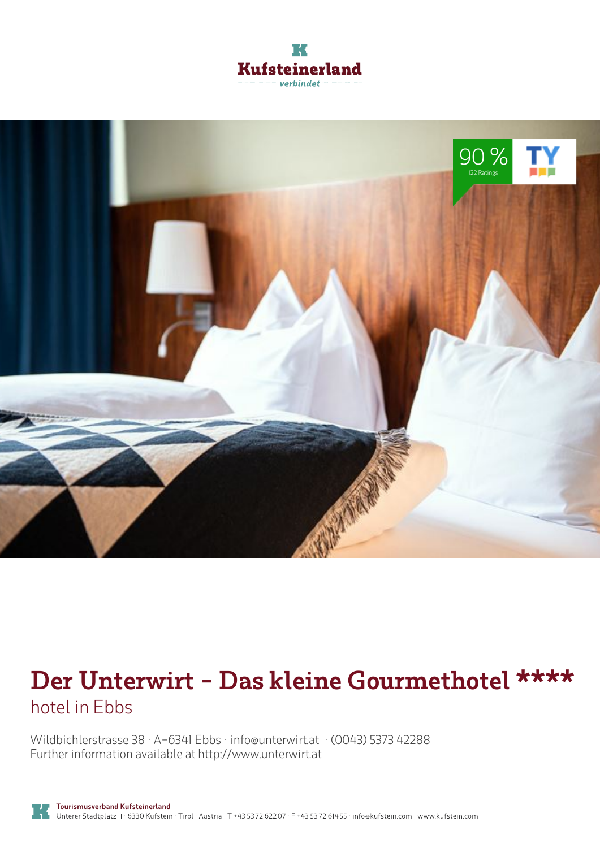



# **Der Unterwirt - Das kleine Gourmethotel \*\*\*\*** hotel in Ebbs

Wildbichlerstrasse 38 · A-6341 Ebbs · **info@unterwirt.at** · **(0043) 5373 42288** Further information available at **http://www.unterwirt.at**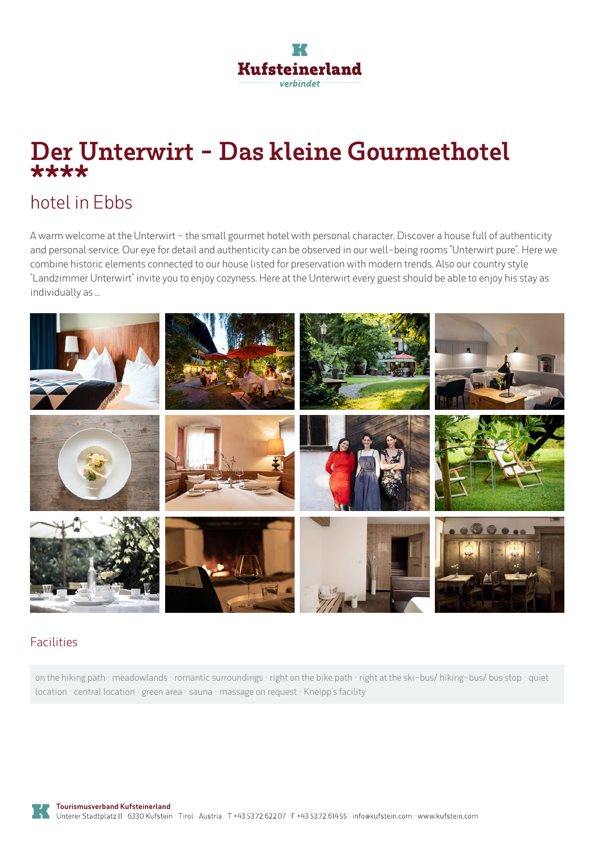

# **Der Unterwirt - Das kleine Gourmethotel \*\*\*\***

## hotel in Ebbs

A warm welcome at the Unterwirt - the small gourmet hotel with personal character. Discover <sup>a</sup> house full of authenticity and personal service. Our eye for detail and authenticity can be observed in our well-being rooms "Unterwirt pure". Here we combine historic elements connected to our house listed for preservation with modern trends. Also our country style "Landzimmer Unterwirt" invite you to enjoy cozyness. Here at the Unterwirt every guest should be able to enjoy his stay as individually as ...



### Facilities

on the hiking path · meadowlands · romantic surroundings · right on the bike path · right at the ski-bus/ hiking-bus/ bus stop · quiet location · central location · green area · sauna · massage on request · Kneipp's facility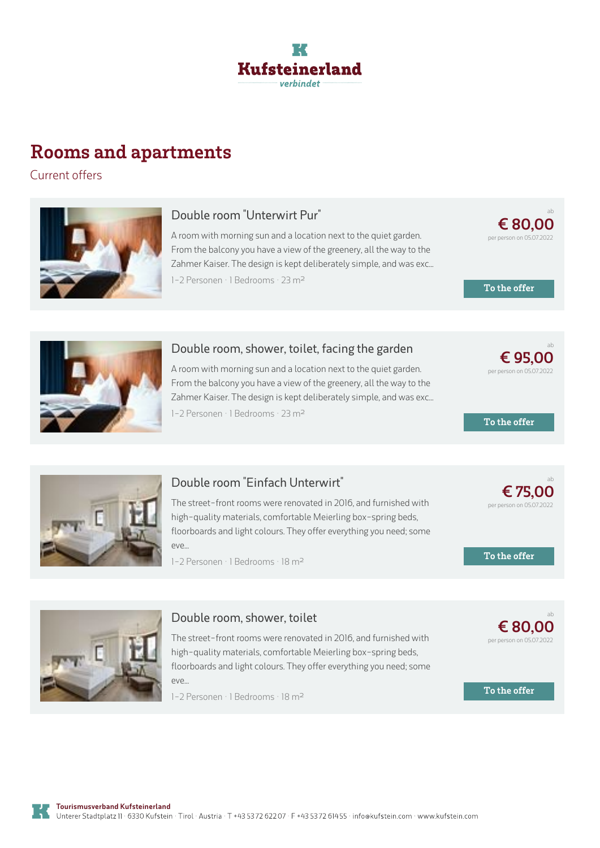

## **Rooms and apartments**

Current offers



### **Double room "Unterwirt Pur"**

A room with morning sun and <sup>a</sup> location next to the quiet garden. From the balcony you have <sup>a</sup> view of the greenery, all the way to the Zahmer Kaiser. The design is kept deliberately simple, and was exc... 1-2 Personen · 1 Bedrooms · 23 <sup>m</sup><sup>²</sup>

**€ [80,00](https://www.kufstein.com/en/book/ebbs/hotel/der-unterwirt-das-kleine-gourmethotel.html?utm_medium=PDF&utm_campaign=Vermieter-Prospekt&utm_source=Der+Unterwirt+-+Das+kleine+Gourmethotel)** per person on 05.07.2022

ab

ab

ab

ab

**To the offer**



#### **Double room, shower, toilet, facing the garden**

A room with morning sun and <sup>a</sup> location next to the quiet garden. From the balcony you have <sup>a</sup> view of the greenery, all the way to the Zahmer Kaiser. The design is kept deliberately simple, and was exc... 1-2 Personen · 1 Bedrooms · 23 <sup>m</sup><sup>²</sup>



### **Double room "Einfach [Unterwirt"](https://www.kufstein.com/en/book/ebbs/hotel/der-unterwirt-das-kleine-gourmethotel.html?utm_medium=PDF&utm_campaign=Vermieter-Prospekt&utm_source=Der+Unterwirt+-+Das+kleine+Gourmethotel)**

The street-front rooms were renovated in 2016, and furnished with high-quality materials, comfortable Meierling box-spring beds. floorboards and light colours. They offer everything you need; some eve...

1-2 Personen · 1 Bedrooms · 18 <sup>m</sup><sup>²</sup>



### **Double room, shower, toilet**

The street-front rooms were renovated in 2016, and furnished with high-quality materials, comfortable Meierling box-spring beds, floorboards and light colours. They offer everything you need; some  $P(X|A)$ 

1-2 Personen · 1 Bedrooms · 18 <sup>m</sup><sup>²</sup>





**€ [95,00](https://www.kufstein.com/en/book/ebbs/hotel/der-unterwirt-das-kleine-gourmethotel.html?utm_medium=PDF&utm_campaign=Vermieter-Prospekt&utm_source=Der+Unterwirt+-+Das+kleine+Gourmethotel)** per person on 05.07.2022

**€ 75,00** per person on 05.07.2022

**To the offer**



**€ [80,00](https://www.kufstein.com/en/book/ebbs/hotel/der-unterwirt-das-kleine-gourmethotel.html?utm_medium=PDF&utm_campaign=Vermieter-Prospekt&utm_source=Der+Unterwirt+-+Das+kleine+Gourmethotel)** per person on 05.07.2022